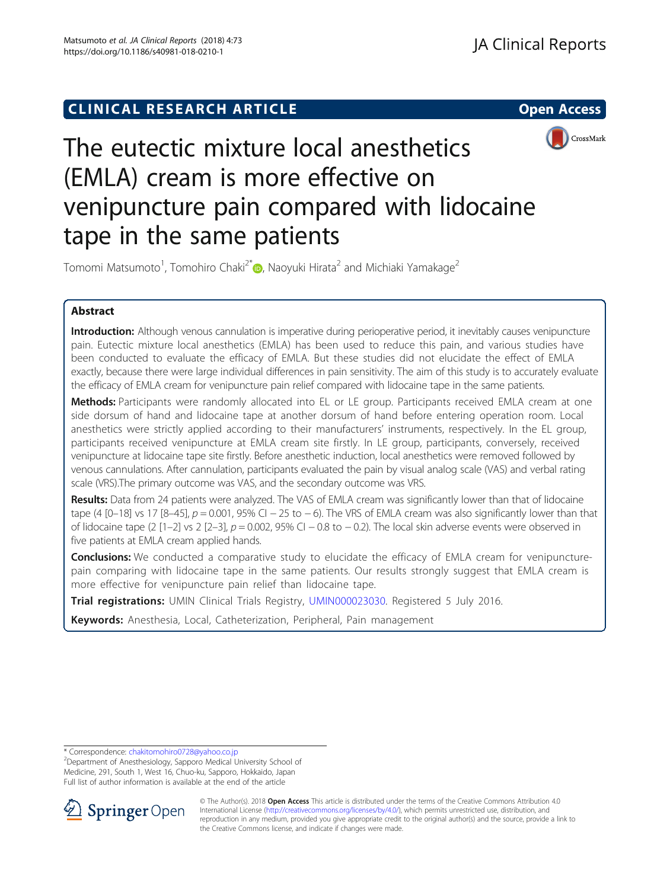# **CLINICAL RESEARCH ARTICLE CLINICAL RESEARCH ARTICLE**



# The eutectic mixture local anesthetics (EMLA) cream is more effective on venipuncture pain compared with lidocaine tape in the same patients

Tomomi Matsumoto<sup>1</sup>[,](http://orcid.org/0000-0001-8898-3977) Tomohiro Chaki<sup>2\*</sup>�, Naoyuki Hirata<sup>2</sup> and Michiaki Yamakage<sup>2</sup>

# Abstract

Introduction: Although venous cannulation is imperative during perioperative period, it inevitably causes venipuncture pain. Eutectic mixture local anesthetics (EMLA) has been used to reduce this pain, and various studies have been conducted to evaluate the efficacy of EMLA. But these studies did not elucidate the effect of EMLA exactly, because there were large individual differences in pain sensitivity. The aim of this study is to accurately evaluate the efficacy of EMLA cream for venipuncture pain relief compared with lidocaine tape in the same patients.

Methods: Participants were randomly allocated into EL or LE group. Participants received EMLA cream at one side dorsum of hand and lidocaine tape at another dorsum of hand before entering operation room. Local anesthetics were strictly applied according to their manufacturers' instruments, respectively. In the EL group, participants received venipuncture at EMLA cream site firstly. In LE group, participants, conversely, received venipuncture at lidocaine tape site firstly. Before anesthetic induction, local anesthetics were removed followed by venous cannulations. After cannulation, participants evaluated the pain by visual analog scale (VAS) and verbal rating scale (VRS).The primary outcome was VAS, and the secondary outcome was VRS.

Results: Data from 24 patients were analyzed. The VAS of EMLA cream was significantly lower than that of lidocaine tape (4 [0–18] vs 17 [8–45],  $p = 0.001$ , 95% CI – 25 to – 6). The VRS of EMLA cream was also significantly lower than that of lidocaine tape (2 [1–2] vs 2 [2–3],  $p = 0.002$ , 95% CI – 0.8 to – 0.2). The local skin adverse events were observed in five patients at EMLA cream applied hands.

**Conclusions:** We conducted a comparative study to elucidate the efficacy of EMLA cream for venipuncturepain comparing with lidocaine tape in the same patients. Our results strongly suggest that EMLA cream is more effective for venipuncture pain relief than lidocaine tape.

Trial registrations: UMIN Clinical Trials Registry, [UMIN000023030.](https://upload.umin.ac.jp/cgi-open-bin/ctr_e/ctr_view.cgi?recptno=R000026462) Registered 5 July 2016.

Keywords: Anesthesia, Local, Catheterization, Peripheral, Pain management

<sup>&</sup>lt;sup>2</sup>Department of Anesthesiology, Sapporo Medical University School of Medicine, 291, South 1, West 16, Chuo-ku, Sapporo, Hokkaido, Japan Full list of author information is available at the end of the article



© The Author(s). 2018 Open Access This article is distributed under the terms of the Creative Commons Attribution 4.0 International License ([http://creativecommons.org/licenses/by/4.0/\)](http://creativecommons.org/licenses/by/4.0/), which permits unrestricted use, distribution, and reproduction in any medium, provided you give appropriate credit to the original author(s) and the source, provide a link to the Creative Commons license, and indicate if changes were made.

<sup>\*</sup> Correspondence: [chakitomohiro0728@yahoo.co.jp](mailto:chakitomohiro0728@yahoo.co.jp) <sup>2</sup>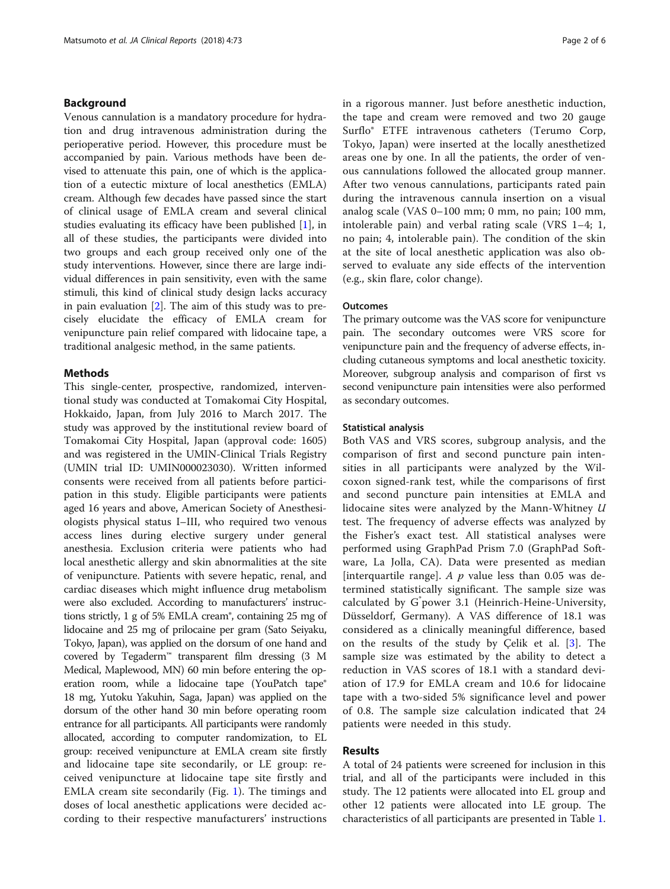### Background

Venous cannulation is a mandatory procedure for hydration and drug intravenous administration during the perioperative period. However, this procedure must be accompanied by pain. Various methods have been devised to attenuate this pain, one of which is the application of a eutectic mixture of local anesthetics (EMLA) cream. Although few decades have passed since the start of clinical usage of EMLA cream and several clinical studies evaluating its efficacy have been published [\[1](#page-5-0)], in all of these studies, the participants were divided into two groups and each group received only one of the study interventions. However, since there are large individual differences in pain sensitivity, even with the same stimuli, this kind of clinical study design lacks accuracy in pain evaluation [\[2](#page-5-0)]. The aim of this study was to precisely elucidate the efficacy of EMLA cream for venipuncture pain relief compared with lidocaine tape, a traditional analgesic method, in the same patients.

#### Methods

This single-center, prospective, randomized, interventional study was conducted at Tomakomai City Hospital, Hokkaido, Japan, from July 2016 to March 2017. The study was approved by the institutional review board of Tomakomai City Hospital, Japan (approval code: 1605) and was registered in the UMIN-Clinical Trials Registry (UMIN trial ID: UMIN000023030). Written informed consents were received from all patients before participation in this study. Eligible participants were patients aged 16 years and above, American Society of Anesthesiologists physical status I–III, who required two venous access lines during elective surgery under general anesthesia. Exclusion criteria were patients who had local anesthetic allergy and skin abnormalities at the site of venipuncture. Patients with severe hepatic, renal, and cardiac diseases which might influence drug metabolism were also excluded. According to manufacturers' instructions strictly, 1 g of 5% EMLA cream®, containing 25 mg of lidocaine and 25 mg of prilocaine per gram (Sato Seiyaku, Tokyo, Japan), was applied on the dorsum of one hand and covered by Tegaderm™ transparent film dressing (3 M Medical, Maplewood, MN) 60 min before entering the operation room, while a lidocaine tape (YouPatch tape<sup>®</sup> 18 mg, Yutoku Yakuhin, Saga, Japan) was applied on the dorsum of the other hand 30 min before operating room entrance for all participants. All participants were randomly allocated, according to computer randomization, to EL group: received venipuncture at EMLA cream site firstly and lidocaine tape site secondarily, or LE group: received venipuncture at lidocaine tape site firstly and EMLA cream site secondarily (Fig. [1\)](#page-2-0). The timings and doses of local anesthetic applications were decided according to their respective manufacturers' instructions

in a rigorous manner. Just before anesthetic induction, the tape and cream were removed and two 20 gauge Surflo® ETFE intravenous catheters (Terumo Corp, Tokyo, Japan) were inserted at the locally anesthetized areas one by one. In all the patients, the order of venous cannulations followed the allocated group manner. After two venous cannulations, participants rated pain during the intravenous cannula insertion on a visual analog scale (VAS 0–100 mm; 0 mm, no pain; 100 mm, intolerable pain) and verbal rating scale (VRS 1–4; 1, no pain; 4, intolerable pain). The condition of the skin at the site of local anesthetic application was also observed to evaluate any side effects of the intervention (e.g., skin flare, color change).

#### **Outcomes**

The primary outcome was the VAS score for venipuncture pain. The secondary outcomes were VRS score for venipuncture pain and the frequency of adverse effects, including cutaneous symptoms and local anesthetic toxicity. Moreover, subgroup analysis and comparison of first vs second venipuncture pain intensities were also performed as secondary outcomes.

#### Statistical analysis

Both VAS and VRS scores, subgroup analysis, and the comparison of first and second puncture pain intensities in all participants were analyzed by the Wilcoxon signed-rank test, while the comparisons of first and second puncture pain intensities at EMLA and lidocaine sites were analyzed by the Mann-Whitney  $U$ test. The frequency of adverse effects was analyzed by the Fisher's exact test. All statistical analyses were performed using GraphPad Prism 7.0 (GraphPad Software, La Jolla, CA). Data were presented as median [interquartile range].  $A$   $p$  value less than 0.05 was determined statistically significant. The sample size was calculated by G\* power 3.1 (Heinrich-Heine-University, Düsseldorf, Germany). A VAS difference of 18.1 was considered as a clinically meaningful difference, based on the results of the study by Çelik et al. [\[3](#page-5-0)]. The sample size was estimated by the ability to detect a reduction in VAS scores of 18.1 with a standard deviation of 17.9 for EMLA cream and 10.6 for lidocaine tape with a two-sided 5% significance level and power of 0.8. The sample size calculation indicated that 24 patients were needed in this study.

#### Results

A total of 24 patients were screened for inclusion in this trial, and all of the participants were included in this study. The 12 patients were allocated into EL group and other 12 patients were allocated into LE group. The characteristics of all participants are presented in Table [1](#page-2-0).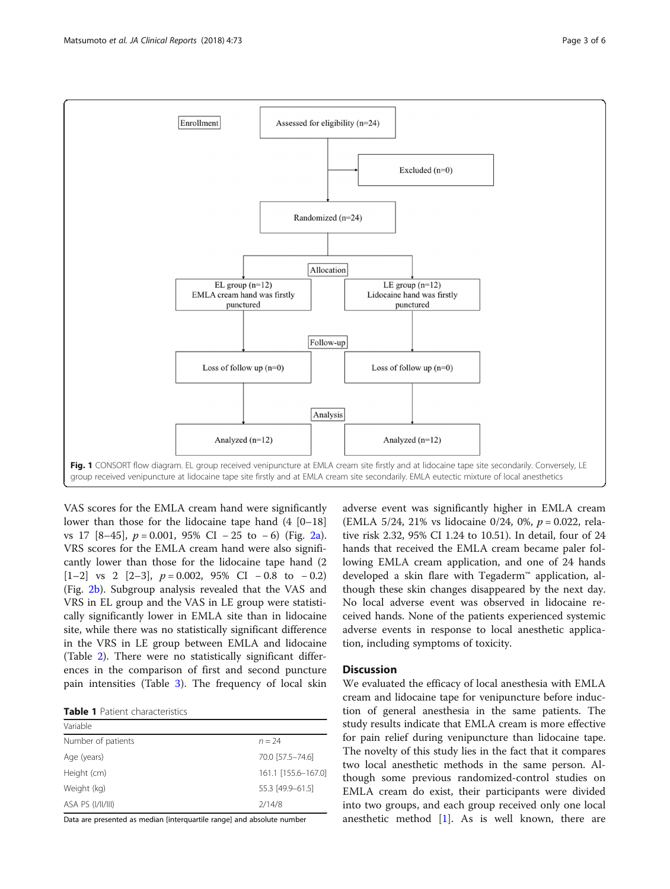<span id="page-2-0"></span>

VAS scores for the EMLA cream hand were significantly lower than those for the lidocaine tape hand  $(4 \mid 0-18)$ vs 17  $[8-45]$ ,  $p = 0.001$ , 95% CI − 25 to −6) (Fig. [2a](#page-3-0)). VRS scores for the EMLA cream hand were also significantly lower than those for the lidocaine tape hand (2 [1–2] vs 2 [2–3],  $p = 0.002$ , 95% CI – 0.8 to – 0.2) (Fig. [2b\)](#page-3-0). Subgroup analysis revealed that the VAS and VRS in EL group and the VAS in LE group were statistically significantly lower in EMLA site than in lidocaine site, while there was no statistically significant difference in the VRS in LE group between EMLA and lidocaine (Table [2\)](#page-3-0). There were no statistically significant differences in the comparison of first and second puncture pain intensities (Table [3\)](#page-4-0). The frequency of local skin

|  | <b>Table 1</b> Patient characteristics |
|--|----------------------------------------|
|  |                                        |

| Variable           |                     |
|--------------------|---------------------|
| Number of patients | $n = 24$            |
| Age (years)        | 70.0 [57.5-74.6]    |
| Height (cm)        | 161.1 [155.6-167.0] |
| Weight (kg)        | 55.3 [49.9-61.5]    |
| ASA PS (I/II/III)  | 2/14/8              |

Data are presented as median [interquartile range] and absolute number

adverse event was significantly higher in EMLA cream (EMLA 5/24, 21% vs lidocaine 0/24, 0%,  $p = 0.022$ , relative risk 2.32, 95% CI 1.24 to 10.51). In detail, four of 24 hands that received the EMLA cream became paler following EMLA cream application, and one of 24 hands developed a skin flare with Tegaderm™ application, although these skin changes disappeared by the next day. No local adverse event was observed in lidocaine received hands. None of the patients experienced systemic adverse events in response to local anesthetic application, including symptoms of toxicity.

#### **Discussion**

We evaluated the efficacy of local anesthesia with EMLA cream and lidocaine tape for venipuncture before induction of general anesthesia in the same patients. The study results indicate that EMLA cream is more effective for pain relief during venipuncture than lidocaine tape. The novelty of this study lies in the fact that it compares two local anesthetic methods in the same person. Although some previous randomized-control studies on EMLA cream do exist, their participants were divided into two groups, and each group received only one local anesthetic method [\[1\]](#page-5-0). As is well known, there are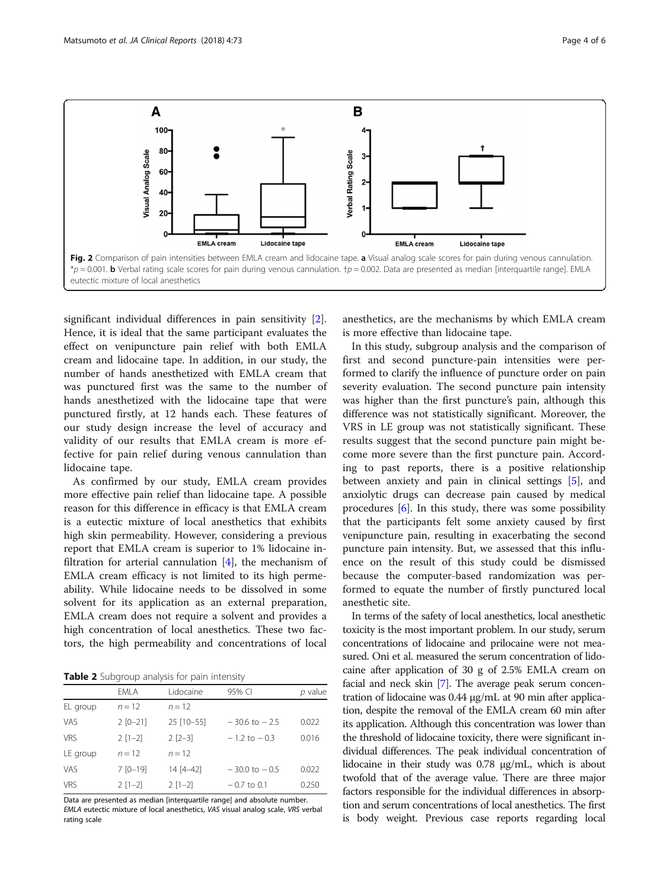<span id="page-3-0"></span>

significant individual differences in pain sensitivity [\[2](#page-5-0)]. Hence, it is ideal that the same participant evaluates the effect on venipuncture pain relief with both EMLA cream and lidocaine tape. In addition, in our study, the number of hands anesthetized with EMLA cream that was punctured first was the same to the number of hands anesthetized with the lidocaine tape that were punctured firstly, at 12 hands each. These features of our study design increase the level of accuracy and validity of our results that EMLA cream is more effective for pain relief during venous cannulation than lidocaine tape.

As confirmed by our study, EMLA cream provides more effective pain relief than lidocaine tape. A possible reason for this difference in efficacy is that EMLA cream is a eutectic mixture of local anesthetics that exhibits high skin permeability. However, considering a previous report that EMLA cream is superior to 1% lidocaine infiltration for arterial cannulation  $[4]$  $[4]$ , the mechanism of EMLA cream efficacy is not limited to its high permeability. While lidocaine needs to be dissolved in some solvent for its application as an external preparation, EMLA cream does not require a solvent and provides a high concentration of local anesthetics. These two factors, the high permeability and concentrations of local

Table 2 Subgroup analysis for pain intensity

| <b>TWATE</b> $\leq$ bubgroup driving to paint interiorly |              |             |                   |         |  |  |  |  |
|----------------------------------------------------------|--------------|-------------|-------------------|---------|--|--|--|--|
|                                                          | EMLA         | Lidocaine   | 95% CI            | p value |  |  |  |  |
| EL group                                                 | $n = 12$     | $n = 12$    |                   |         |  |  |  |  |
| <b>VAS</b>                                               | $2 [0 - 21]$ | 25 [10-55]  | $-30.6$ to $-2.5$ | 0.022   |  |  |  |  |
| <b>VRS</b>                                               | $2[1-2]$     | $2$ $[2-3]$ | $-1.2$ to $-0.3$  | 0.016   |  |  |  |  |
| LE group                                                 | $n = 12$     | $n = 12$    |                   |         |  |  |  |  |
| <b>VAS</b>                                               | $7 [0 - 19]$ | 14 [4-42]   | $-30.0$ to $-0.5$ | 0.022   |  |  |  |  |
| <b>VRS</b>                                               | $2[1-2]$     | $2[1-2]$    | $-0.7$ to 0.1     | 0.250   |  |  |  |  |

Data are presented as median [interquartile range] and absolute number. EMLA eutectic mixture of local anesthetics, VAS visual analog scale, VRS verbal rating scale

anesthetics, are the mechanisms by which EMLA cream is more effective than lidocaine tape.

In this study, subgroup analysis and the comparison of first and second puncture-pain intensities were performed to clarify the influence of puncture order on pain severity evaluation. The second puncture pain intensity was higher than the first puncture's pain, although this difference was not statistically significant. Moreover, the VRS in LE group was not statistically significant. These results suggest that the second puncture pain might become more severe than the first puncture pain. According to past reports, there is a positive relationship between anxiety and pain in clinical settings [\[5\]](#page-5-0), and anxiolytic drugs can decrease pain caused by medical procedures  $[6]$  $[6]$ . In this study, there was some possibility that the participants felt some anxiety caused by first venipuncture pain, resulting in exacerbating the second puncture pain intensity. But, we assessed that this influence on the result of this study could be dismissed because the computer-based randomization was performed to equate the number of firstly punctured local anesthetic site.

In terms of the safety of local anesthetics, local anesthetic toxicity is the most important problem. In our study, serum concentrations of lidocaine and prilocaine were not measured. Oni et al. measured the serum concentration of lidocaine after application of 30 g of 2.5% EMLA cream on facial and neck skin [[7](#page-5-0)]. The average peak serum concentration of lidocaine was 0.44 μg/mL at 90 min after application, despite the removal of the EMLA cream 60 min after its application. Although this concentration was lower than the threshold of lidocaine toxicity, there were significant individual differences. The peak individual concentration of lidocaine in their study was 0.78 μg/mL, which is about twofold that of the average value. There are three major factors responsible for the individual differences in absorption and serum concentrations of local anesthetics. The first is body weight. Previous case reports regarding local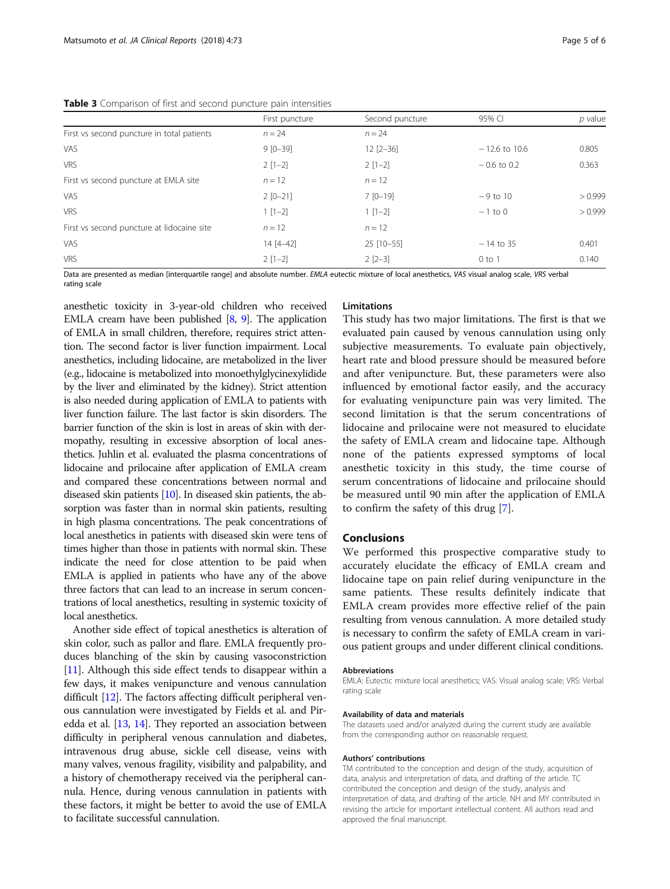<span id="page-4-0"></span>

|                                            | First puncture | Second puncture | 95% CI          | $p$ value |
|--------------------------------------------|----------------|-----------------|-----------------|-----------|
| First vs second puncture in total patients | $n = 24$       | $n = 24$        |                 |           |
| <b>VAS</b>                                 | $9 [0 - 39]$   | $12 [2 - 36]$   | $-12.6$ to 10.6 | 0.805     |
| <b>VRS</b>                                 | $2[1-2]$       | $2[1-2]$        | $-0.6$ to 0.2   | 0.363     |
| First vs second puncture at EMLA site      | $n = 12$       | $n = 12$        |                 |           |
| <b>VAS</b>                                 | $2 [0 - 21]$   | $7$ [0-19]      | $-9$ to 10      | > 0.999   |
| <b>VRS</b>                                 | $1 [1-2]$      | $1 [1-2]$       | $-1$ to 0       | > 0.999   |
| First vs second puncture at lidocaine site | $n = 12$       | $n = 12$        |                 |           |
| <b>VAS</b>                                 | $14 [4 - 42]$  | 25 [10-55]      | $-14$ to 35     | 0.401     |
| <b>VRS</b>                                 | $2[1-2]$       | $2$ $[2-3]$     | $0$ to $1$      | 0.140     |

Data are presented as median [interquartile range] and absolute number. EMLA eutectic mixture of local anesthetics, VAS visual analog scale, VRS verbal rating scale

anesthetic toxicity in 3-year-old children who received EMLA cream have been published  $[8, 9]$  $[8, 9]$  $[8, 9]$  $[8, 9]$ . The application of EMLA in small children, therefore, requires strict attention. The second factor is liver function impairment. Local anesthetics, including lidocaine, are metabolized in the liver (e.g., lidocaine is metabolized into monoethylglycinexylidide by the liver and eliminated by the kidney). Strict attention is also needed during application of EMLA to patients with liver function failure. The last factor is skin disorders. The barrier function of the skin is lost in areas of skin with dermopathy, resulting in excessive absorption of local anesthetics. Juhlin et al. evaluated the plasma concentrations of lidocaine and prilocaine after application of EMLA cream and compared these concentrations between normal and diseased skin patients [\[10\]](#page-5-0). In diseased skin patients, the absorption was faster than in normal skin patients, resulting in high plasma concentrations. The peak concentrations of local anesthetics in patients with diseased skin were tens of times higher than those in patients with normal skin. These indicate the need for close attention to be paid when EMLA is applied in patients who have any of the above three factors that can lead to an increase in serum concentrations of local anesthetics, resulting in systemic toxicity of local anesthetics.

Another side effect of topical anesthetics is alteration of skin color, such as pallor and flare. EMLA frequently produces blanching of the skin by causing vasoconstriction [[11](#page-5-0)]. Although this side effect tends to disappear within a few days, it makes venipuncture and venous cannulation difficult [\[12\]](#page-5-0). The factors affecting difficult peripheral venous cannulation were investigated by Fields et al. and Piredda et al. [\[13,](#page-5-0) [14\]](#page-5-0). They reported an association between difficulty in peripheral venous cannulation and diabetes, intravenous drug abuse, sickle cell disease, veins with many valves, venous fragility, visibility and palpability, and a history of chemotherapy received via the peripheral cannula. Hence, during venous cannulation in patients with these factors, it might be better to avoid the use of EMLA to facilitate successful cannulation.

#### Limitations

This study has two major limitations. The first is that we evaluated pain caused by venous cannulation using only subjective measurements. To evaluate pain objectively, heart rate and blood pressure should be measured before and after venipuncture. But, these parameters were also influenced by emotional factor easily, and the accuracy for evaluating venipuncture pain was very limited. The second limitation is that the serum concentrations of lidocaine and prilocaine were not measured to elucidate the safety of EMLA cream and lidocaine tape. Although none of the patients expressed symptoms of local anesthetic toxicity in this study, the time course of serum concentrations of lidocaine and prilocaine should be measured until 90 min after the application of EMLA to confirm the safety of this drug [[7\]](#page-5-0).

#### Conclusions

We performed this prospective comparative study to accurately elucidate the efficacy of EMLA cream and lidocaine tape on pain relief during venipuncture in the same patients. These results definitely indicate that EMLA cream provides more effective relief of the pain resulting from venous cannulation. A more detailed study is necessary to confirm the safety of EMLA cream in various patient groups and under different clinical conditions.

#### Abbreviations

EMLA: Eutectic mixture local anesthetics; VAS: Visual analog scale; VRS: Verbal rating scale

#### Availability of data and materials

The datasets used and/or analyzed during the current study are available from the corresponding author on reasonable request.

#### Authors' contributions

TM contributed to the conception and design of the study, acquisition of data, analysis and interpretation of data, and drafting of the article. TC contributed the conception and design of the study, analysis and interpretation of data, and drafting of the article. NH and MY contributed in revising the article for important intellectual content. All authors read and approved the final manuscript.